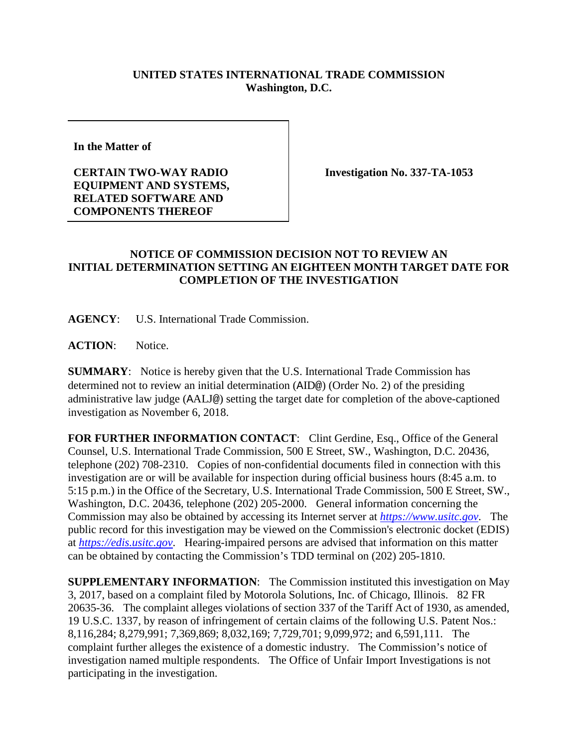## **UNITED STATES INTERNATIONAL TRADE COMMISSION Washington, D.C.**

**In the Matter of** 

## **CERTAIN TWO-WAY RADIO EQUIPMENT AND SYSTEMS, RELATED SOFTWARE AND COMPONENTS THEREOF**

**Investigation No. 337-TA-1053**

## **NOTICE OF COMMISSION DECISION NOT TO REVIEW AN INITIAL DETERMINATION SETTING AN EIGHTEEN MONTH TARGET DATE FOR COMPLETION OF THE INVESTIGATION**

**AGENCY**: U.S. International Trade Commission.

**ACTION**: Notice.

**SUMMARY**: Notice is hereby given that the U.S. International Trade Commission has determined not to review an initial determination (AID@) (Order No. 2) of the presiding administrative law judge (AALJ@) setting the target date for completion of the above-captioned investigation as November 6, 2018.

FOR FURTHER INFORMATION CONTACT: Clint Gerdine, Esq., Office of the General Counsel, U.S. International Trade Commission, 500 E Street, SW., Washington, D.C. 20436, telephone (202) 708-2310. Copies of non-confidential documents filed in connection with this investigation are or will be available for inspection during official business hours (8:45 a.m. to 5:15 p.m.) in the Office of the Secretary, U.S. International Trade Commission, 500 E Street, SW., Washington, D.C. 20436, telephone (202) 205-2000. General information concerning the Commission may also be obtained by accessing its Internet server at *[https://www.usitc.gov](https://www.usitc.gov/)*. The public record for this investigation may be viewed on the Commission's electronic docket (EDIS) at *[https://edis.usitc.gov](https://edis.usitc.gov/)*. Hearing-impaired persons are advised that information on this matter can be obtained by contacting the Commission's TDD terminal on (202) 205-1810.

**SUPPLEMENTARY INFORMATION**: The Commission instituted this investigation on May 3, 2017, based on a complaint filed by Motorola Solutions, Inc. of Chicago, Illinois. 82 FR 20635-36. The complaint alleges violations of section 337 of the Tariff Act of 1930, as amended, 19 U.S.C. 1337, by reason of infringement of certain claims of the following U.S. Patent Nos.: 8,116,284; 8,279,991; 7,369,869; 8,032,169; 7,729,701; 9,099,972; and 6,591,111. The complaint further alleges the existence of a domestic industry. The Commission's notice of investigation named multiple respondents. The Office of Unfair Import Investigations is not participating in the investigation.